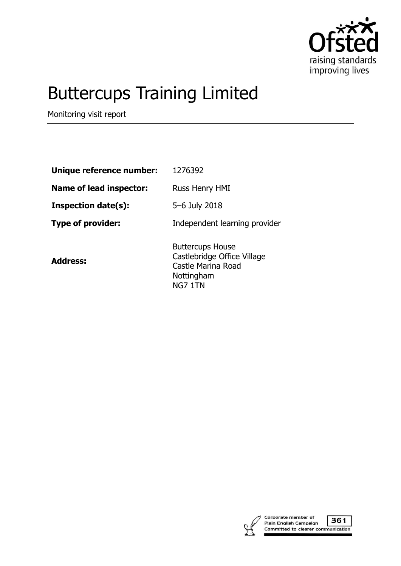

# Buttercups Training Limited

Monitoring visit report

| Unique reference number:       | 1276392                                                                                               |
|--------------------------------|-------------------------------------------------------------------------------------------------------|
| <b>Name of lead inspector:</b> | Russ Henry HMI                                                                                        |
| <b>Inspection date(s):</b>     | 5-6 July 2018                                                                                         |
| <b>Type of provider:</b>       | Independent learning provider                                                                         |
| <b>Address:</b>                | <b>Buttercups House</b><br>Castlebridge Office Village<br>Castle Marina Road<br>Nottingham<br>NG7 1TN |



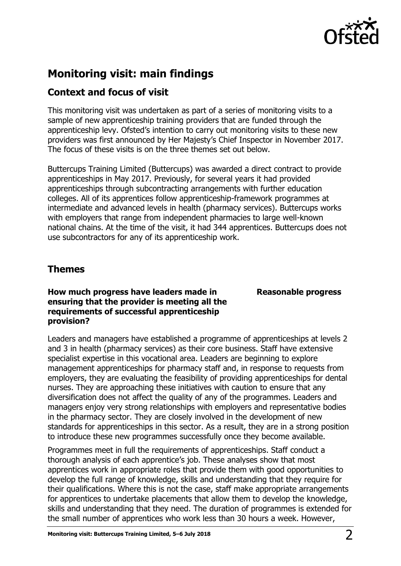

# **Monitoring visit: main findings**

# **Context and focus of visit**

This monitoring visit was undertaken as part of a series of monitoring visits to a sample of new apprenticeship training providers that are funded through the apprenticeship levy. Ofsted's intention to carry out monitoring visits to these new providers was first announced by Her Majesty's Chief Inspector in November 2017. The focus of these visits is on the three themes set out below.

Buttercups Training Limited (Buttercups) was awarded a direct contract to provide apprenticeships in May 2017. Previously, for several years it had provided apprenticeships through subcontracting arrangements with further education colleges. All of its apprentices follow apprenticeship-framework programmes at intermediate and advanced levels in health (pharmacy services). Buttercups works with employers that range from independent pharmacies to large well-known national chains. At the time of the visit, it had 344 apprentices. Buttercups does not use subcontractors for any of its apprenticeship work.

## **Themes**

## **How much progress have leaders made in ensuring that the provider is meeting all the requirements of successful apprenticeship provision?**

**Reasonable progress**

Leaders and managers have established a programme of apprenticeships at levels 2 and 3 in health (pharmacy services) as their core business. Staff have extensive specialist expertise in this vocational area. Leaders are beginning to explore management apprenticeships for pharmacy staff and, in response to requests from employers, they are evaluating the feasibility of providing apprenticeships for dental nurses. They are approaching these initiatives with caution to ensure that any diversification does not affect the quality of any of the programmes. Leaders and managers enjoy very strong relationships with employers and representative bodies in the pharmacy sector. They are closely involved in the development of new standards for apprenticeships in this sector. As a result, they are in a strong position to introduce these new programmes successfully once they become available.

Programmes meet in full the requirements of apprenticeships. Staff conduct a thorough analysis of each apprentice's job. These analyses show that most apprentices work in appropriate roles that provide them with good opportunities to develop the full range of knowledge, skills and understanding that they require for their qualifications. Where this is not the case, staff make appropriate arrangements for apprentices to undertake placements that allow them to develop the knowledge, skills and understanding that they need. The duration of programmes is extended for the small number of apprentices who work less than 30 hours a week. However,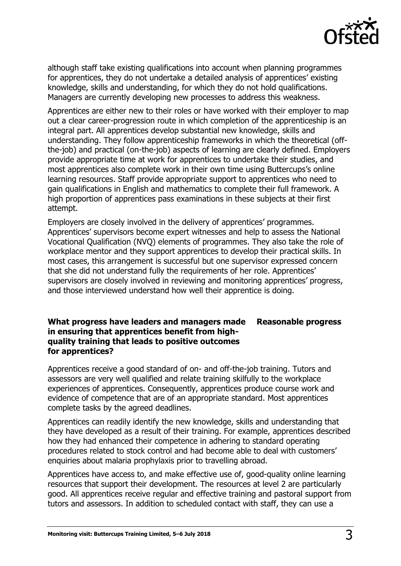

although staff take existing qualifications into account when planning programmes for apprentices, they do not undertake a detailed analysis of apprentices' existing knowledge, skills and understanding, for which they do not hold qualifications. Managers are currently developing new processes to address this weakness.

Apprentices are either new to their roles or have worked with their employer to map out a clear career-progression route in which completion of the apprenticeship is an integral part. All apprentices develop substantial new knowledge, skills and understanding. They follow apprenticeship frameworks in which the theoretical (offthe-job) and practical (on-the-job) aspects of learning are clearly defined. Employers provide appropriate time at work for apprentices to undertake their studies, and most apprentices also complete work in their own time using Buttercups's online learning resources. Staff provide appropriate support to apprentices who need to gain qualifications in English and mathematics to complete their full framework. A high proportion of apprentices pass examinations in these subjects at their first attempt.

Employers are closely involved in the delivery of apprentices' programmes. Apprentices' supervisors become expert witnesses and help to assess the National Vocational Qualification (NVQ) elements of programmes. They also take the role of workplace mentor and they support apprentices to develop their practical skills. In most cases, this arrangement is successful but one supervisor expressed concern that she did not understand fully the requirements of her role. Apprentices' supervisors are closely involved in reviewing and monitoring apprentices' progress, and those interviewed understand how well their apprentice is doing.

## **What progress have leaders and managers made in ensuring that apprentices benefit from highquality training that leads to positive outcomes for apprentices? Reasonable progress**

Apprentices receive a good standard of on- and off-the-job training. Tutors and assessors are very well qualified and relate training skilfully to the workplace experiences of apprentices. Consequently, apprentices produce course work and evidence of competence that are of an appropriate standard. Most apprentices complete tasks by the agreed deadlines.

Apprentices can readily identify the new knowledge, skills and understanding that they have developed as a result of their training. For example, apprentices described how they had enhanced their competence in adhering to standard operating procedures related to stock control and had become able to deal with customers' enquiries about malaria prophylaxis prior to travelling abroad.

Apprentices have access to, and make effective use of, good-quality online learning resources that support their development. The resources at level 2 are particularly good. All apprentices receive regular and effective training and pastoral support from tutors and assessors. In addition to scheduled contact with staff, they can use a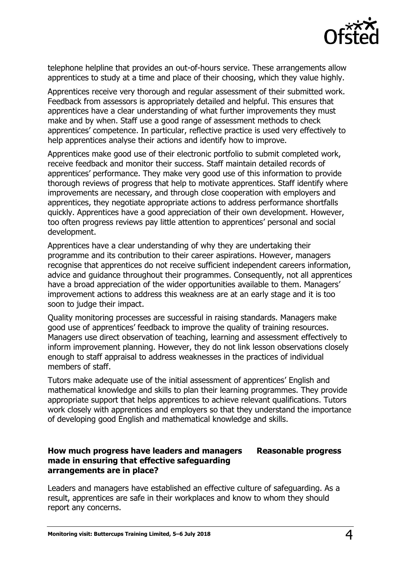

telephone helpline that provides an out-of-hours service. These arrangements allow apprentices to study at a time and place of their choosing, which they value highly.

Apprentices receive very thorough and regular assessment of their submitted work. Feedback from assessors is appropriately detailed and helpful. This ensures that apprentices have a clear understanding of what further improvements they must make and by when. Staff use a good range of assessment methods to check apprentices' competence. In particular, reflective practice is used very effectively to help apprentices analyse their actions and identify how to improve.

Apprentices make good use of their electronic portfolio to submit completed work, receive feedback and monitor their success. Staff maintain detailed records of apprentices' performance. They make very good use of this information to provide thorough reviews of progress that help to motivate apprentices. Staff identify where improvements are necessary, and through close cooperation with employers and apprentices, they negotiate appropriate actions to address performance shortfalls quickly. Apprentices have a good appreciation of their own development. However, too often progress reviews pay little attention to apprentices' personal and social development.

Apprentices have a clear understanding of why they are undertaking their programme and its contribution to their career aspirations. However, managers recognise that apprentices do not receive sufficient independent careers information, advice and guidance throughout their programmes. Consequently, not all apprentices have a broad appreciation of the wider opportunities available to them. Managers' improvement actions to address this weakness are at an early stage and it is too soon to judge their impact.

Quality monitoring processes are successful in raising standards. Managers make good use of apprentices' feedback to improve the quality of training resources. Managers use direct observation of teaching, learning and assessment effectively to inform improvement planning. However, they do not link lesson observations closely enough to staff appraisal to address weaknesses in the practices of individual members of staff.

Tutors make adequate use of the initial assessment of apprentices' English and mathematical knowledge and skills to plan their learning programmes. They provide appropriate support that helps apprentices to achieve relevant qualifications. Tutors work closely with apprentices and employers so that they understand the importance of developing good English and mathematical knowledge and skills.

### **How much progress have leaders and managers made in ensuring that effective safeguarding arrangements are in place? Reasonable progress**

Leaders and managers have established an effective culture of safeguarding. As a result, apprentices are safe in their workplaces and know to whom they should report any concerns.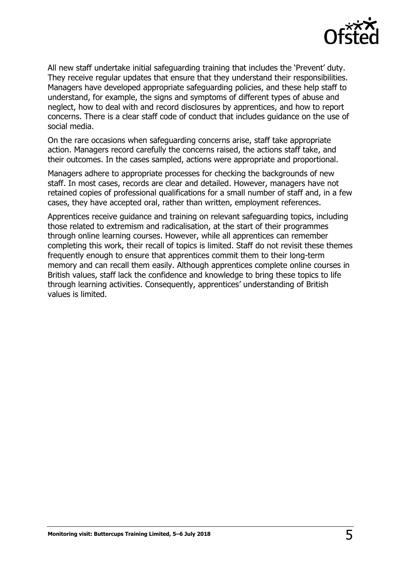

All new staff undertake initial safeguarding training that includes the 'Prevent' duty. They receive regular updates that ensure that they understand their responsibilities. Managers have developed appropriate safeguarding policies, and these help staff to understand, for example, the signs and symptoms of different types of abuse and neglect, how to deal with and record disclosures by apprentices, and how to report concerns. There is a clear staff code of conduct that includes guidance on the use of social media.

On the rare occasions when safeguarding concerns arise, staff take appropriate action. Managers record carefully the concerns raised, the actions staff take, and their outcomes. In the cases sampled, actions were appropriate and proportional.

Managers adhere to appropriate processes for checking the backgrounds of new staff. In most cases, records are clear and detailed. However, managers have not retained copies of professional qualifications for a small number of staff and, in a few cases, they have accepted oral, rather than written, employment references.

Apprentices receive guidance and training on relevant safeguarding topics, including those related to extremism and radicalisation, at the start of their programmes through online learning courses. However, while all apprentices can remember completing this work, their recall of topics is limited. Staff do not revisit these themes frequently enough to ensure that apprentices commit them to their long-term memory and can recall them easily. Although apprentices complete online courses in British values, staff lack the confidence and knowledge to bring these topics to life through learning activities. Consequently, apprentices' understanding of British values is limited.